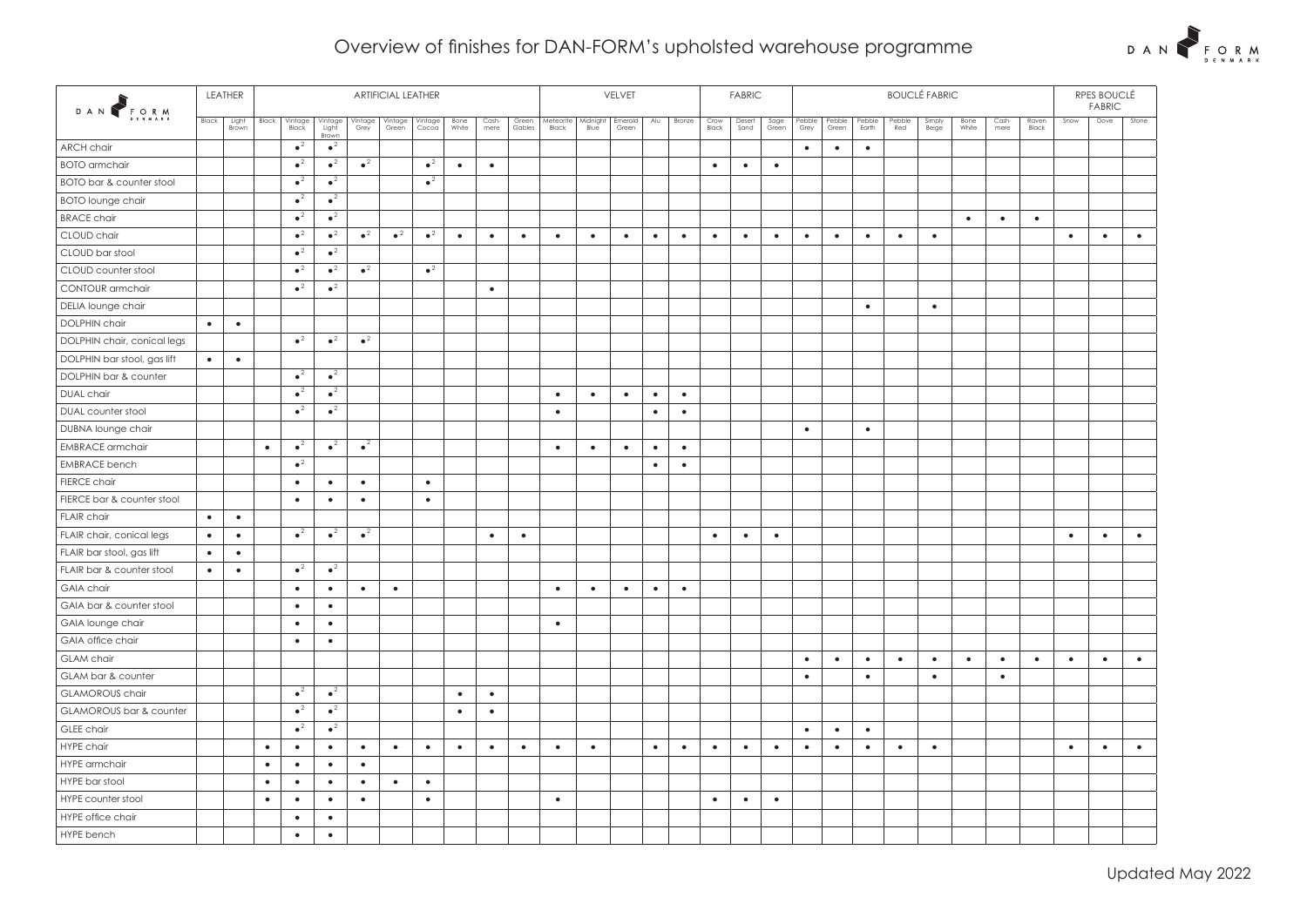## Overview of finishes for DAN-FORM's upholsted warehouse programme



| DAN FORM                    |           | LEATHER        | <b>ARTIFICIAL LEATHER</b> |                  |                           |                 |                        |                  |               |               |                 | VELVET             |                  |                  |           |           |               | <b>FABRIC</b>  |               |                |                 |                 |               | RPES BOUCLÉ<br><b>FABRIC</b> |               |               |                |           |           |           |
|-----------------------------|-----------|----------------|---------------------------|------------------|---------------------------|-----------------|------------------------|------------------|---------------|---------------|-----------------|--------------------|------------------|------------------|-----------|-----------|---------------|----------------|---------------|----------------|-----------------|-----------------|---------------|------------------------------|---------------|---------------|----------------|-----------|-----------|-----------|
|                             | Black     | Light<br>Brown | Black                     | Vintage<br>Black | Vintage<br>Light<br>Brown | Vintage<br>Grey | Vintage<br>Green       | Vintage<br>Cocoa | Bone<br>White | Cash-<br>mere | Green<br>Gables | Meteorite<br>Black | Midnight<br>Blue | Emerald<br>Green | Alu       | Bronze    | Crow<br>Black | Desert<br>Sand | Sage<br>Green | Pebble<br>Grey | Pebble<br>Green | Pebble<br>Earth | Pebble<br>Red | Simply<br>Beige              | Bone<br>White | Cash-<br>mere | Raven<br>Black | Snow      | Dove      | Stone     |
| <b>ARCH chair</b>           |           |                |                           | $\bullet^2$      | $\bullet^2$               |                 |                        |                  |               |               |                 |                    |                  |                  |           |           |               |                |               | $\bullet$      | $\bullet$       | $\bullet$       |               |                              |               |               |                |           |           |           |
| <b>BOTO</b> armchair        |           |                |                           | $\bullet^2$      | $\bullet^2$               | $\bullet^2$     |                        | $\bullet^2$      | $\bullet$     | $\bullet$     |                 |                    |                  |                  |           |           | $\bullet$     | $\bullet$      | $\bullet$     |                |                 |                 |               |                              |               |               |                |           |           |           |
| BOTO bar & counter stool    |           |                |                           | $\bullet^2$      | $\sqrt{2}$                |                 |                        | $\bullet^2$      |               |               |                 |                    |                  |                  |           |           |               |                |               |                |                 |                 |               |                              |               |               |                |           |           |           |
| <b>BOTO lounge chair</b>    |           |                |                           | $\bullet^2$      | $\bullet^2$               |                 |                        |                  |               |               |                 |                    |                  |                  |           |           |               |                |               |                |                 |                 |               |                              |               |               |                |           |           |           |
| <b>BRACE chair</b>          |           |                |                           | $\bullet^2$      | $\bullet^2$               |                 |                        |                  |               |               |                 |                    |                  |                  |           |           |               |                |               |                |                 |                 |               |                              | $\bullet$     | $\bullet$     | $\bullet$      |           |           |           |
| CLOUD chair                 |           |                |                           | $\bullet^2$      | $\bullet^2$               | $\bullet^2$     | $\bullet$ <sup>2</sup> | $\bullet^2$      | $\bullet$     | $\bullet$     | $\bullet$       | $\bullet$          | $\bullet$        | $\bullet$        | $\bullet$ | $\bullet$ | $\bullet$     | $\bullet$      | $\bullet$     | $\bullet$      | $\bullet$       | $\bullet$       | $\bullet$     | $\bullet$                    |               |               |                | $\bullet$ | $\bullet$ | $\bullet$ |
| CLOUD bar stool             |           |                |                           | $\bullet^2$      | $\bullet^2$               |                 |                        |                  |               |               |                 |                    |                  |                  |           |           |               |                |               |                |                 |                 |               |                              |               |               |                |           |           |           |
| CLOUD counter stool         |           |                |                           | $\bullet^2$      | $\bullet^2$               | $\bullet^2$     |                        | $\bullet^2$      |               |               |                 |                    |                  |                  |           |           |               |                |               |                |                 |                 |               |                              |               |               |                |           |           |           |
| CONTOUR armchair            |           |                |                           | $\bullet^2$      | $\bullet^2$               |                 |                        |                  |               | $\bullet$     |                 |                    |                  |                  |           |           |               |                |               |                |                 |                 |               |                              |               |               |                |           |           |           |
| DELIA lounge chair          |           |                |                           |                  |                           |                 |                        |                  |               |               |                 |                    |                  |                  |           |           |               |                |               |                |                 | $\bullet$       |               | $\bullet$                    |               |               |                |           |           |           |
| <b>DOLPHIN chair</b>        | $\bullet$ | $\bullet$      |                           |                  |                           |                 |                        |                  |               |               |                 |                    |                  |                  |           |           |               |                |               |                |                 |                 |               |                              |               |               |                |           |           |           |
| DOLPHIN chair, conical legs |           |                |                           | $\bullet^2$      | $\bullet^2$               | $\bullet^2$     |                        |                  |               |               |                 |                    |                  |                  |           |           |               |                |               |                |                 |                 |               |                              |               |               |                |           |           |           |
| DOLPHIN bar stool, gas lift | $\bullet$ | $\bullet$      |                           |                  |                           |                 |                        |                  |               |               |                 |                    |                  |                  |           |           |               |                |               |                |                 |                 |               |                              |               |               |                |           |           |           |
| DOLPHIN bar & counter       |           |                |                           | $\bullet^2$      | $\bullet^2$               |                 |                        |                  |               |               |                 |                    |                  |                  |           |           |               |                |               |                |                 |                 |               |                              |               |               |                |           |           |           |
| DUAL chair                  |           |                |                           | $\bullet^2$      | $\bullet^2$               |                 |                        |                  |               |               |                 | $\bullet$          | $\bullet$        | $\bullet$        | $\bullet$ | $\bullet$ |               |                |               |                |                 |                 |               |                              |               |               |                |           |           |           |
| DUAL counter stool          |           |                |                           | $\bullet^2$      | $\bullet^2$               |                 |                        |                  |               |               |                 | $\bullet$          |                  |                  | $\bullet$ | $\bullet$ |               |                |               |                |                 |                 |               |                              |               |               |                |           |           |           |
| DUBNA lounge chair          |           |                |                           |                  |                           |                 |                        |                  |               |               |                 |                    |                  |                  |           |           |               |                |               | $\bullet$      |                 | $\bullet$       |               |                              |               |               |                |           |           |           |
| <b>EMBRACE</b> armchair     |           |                | $\bullet$                 | $\bullet^2$      | $\bullet^2$               | $\sqrt{2}$      |                        |                  |               |               |                 | $\bullet$          | $\bullet$        | $\bullet$        | $\bullet$ | $\bullet$ |               |                |               |                |                 |                 |               |                              |               |               |                |           |           |           |
| <b>EMBRACE</b> bench        |           |                |                           | $\bullet^2$      |                           |                 |                        |                  |               |               |                 |                    |                  |                  | $\bullet$ | $\bullet$ |               |                |               |                |                 |                 |               |                              |               |               |                |           |           |           |
| <b>FIERCE</b> chair         |           |                |                           | $\bullet$        | $\bullet$                 | $\bullet$       |                        | $\bullet$        |               |               |                 |                    |                  |                  |           |           |               |                |               |                |                 |                 |               |                              |               |               |                |           |           |           |
| FIERCE bar & counter stool  |           |                |                           | $\bullet$        | $\bullet$                 | $\bullet$       |                        | $\bullet$        |               |               |                 |                    |                  |                  |           |           |               |                |               |                |                 |                 |               |                              |               |               |                |           |           |           |
| <b>FLAIR chair</b>          | $\bullet$ | $\bullet$      |                           |                  |                           |                 |                        |                  |               |               |                 |                    |                  |                  |           |           |               |                |               |                |                 |                 |               |                              |               |               |                |           |           |           |
| FLAIR chair, conical legs   | $\bullet$ | $\bullet$      |                           | $\bullet^2$      | $\bullet^2$               | $\bullet^2$     |                        |                  |               | $\bullet$     | $\bullet$       |                    |                  |                  |           |           | $\bullet$     | $\bullet$      | $\bullet$     |                |                 |                 |               |                              |               |               |                | $\bullet$ | $\bullet$ | $\bullet$ |
| FLAIR bar stool, gas lift   | $\bullet$ | $\bullet$      |                           |                  |                           |                 |                        |                  |               |               |                 |                    |                  |                  |           |           |               |                |               |                |                 |                 |               |                              |               |               |                |           |           |           |
| FLAIR bar & counter stool   | $\bullet$ | $\bullet$      |                           | $\bullet^2$      | $\bullet^2$               |                 |                        |                  |               |               |                 |                    |                  |                  |           |           |               |                |               |                |                 |                 |               |                              |               |               |                |           |           |           |
| <b>GAIA</b> chair           |           |                |                           | $\bullet$        | $\bullet$                 | $\bullet$       | $\bullet$              |                  |               |               |                 | $\bullet$          | $\bullet$        | $\bullet$        | $\bullet$ | $\bullet$ |               |                |               |                |                 |                 |               |                              |               |               |                |           |           |           |
| GAIA bar & counter stool    |           |                |                           | $\bullet$        | $\bullet$                 |                 |                        |                  |               |               |                 |                    |                  |                  |           |           |               |                |               |                |                 |                 |               |                              |               |               |                |           |           |           |
| GAIA lounge chair           |           |                |                           | $\bullet$        | $\bullet$                 |                 |                        |                  |               |               |                 | $\bullet$          |                  |                  |           |           |               |                |               |                |                 |                 |               |                              |               |               |                |           |           |           |
| GAIA office chair           |           |                |                           | $\bullet$        | $\bullet$                 |                 |                        |                  |               |               |                 |                    |                  |                  |           |           |               |                |               |                |                 |                 |               |                              |               |               |                |           |           |           |
| <b>GLAM</b> chair           |           |                |                           |                  |                           |                 |                        |                  |               |               |                 |                    |                  |                  |           |           |               |                |               | $\bullet$      | $\bullet$       | $\bullet$       | $\bullet$     | $\bullet$                    | $\bullet$     | $\bullet$     | $\bullet$      | $\bullet$ | $\bullet$ | $\bullet$ |
| GLAM bar & counter          |           |                |                           |                  |                           |                 |                        |                  |               |               |                 |                    |                  |                  |           |           |               |                |               | $\bullet$      |                 | $\bullet$       |               | $\bullet$                    |               | $\bullet$     |                |           |           |           |
| <b>GLAMOROUS</b> chair      |           |                |                           | $\bullet^2$      | $\bullet^2$               |                 |                        |                  | $\bullet$     | $\bullet$     |                 |                    |                  |                  |           |           |               |                |               |                |                 |                 |               |                              |               |               |                |           |           |           |
| GLAMOROUS bar & counter     |           |                |                           | $\bullet^2$      | $\bullet^2$               |                 |                        |                  | $\bullet$     | $\bullet$     |                 |                    |                  |                  |           |           |               |                |               |                |                 |                 |               |                              |               |               |                |           |           |           |
| GLEE chair                  |           |                |                           | $\bullet^2$      | $\bullet^2$               |                 |                        |                  |               |               |                 |                    |                  |                  |           |           |               |                |               | $\bullet$      | $\bullet$       | $\bullet$       |               |                              |               |               |                |           |           |           |
| HYPE chair                  |           |                | $\bullet$                 | $\bullet$        | $\bullet$                 | $\bullet$       | $\bullet$              | $\bullet$        | $\bullet$     | $\bullet$     | $\bullet$       | $\bullet$          | $\bullet$        |                  | $\bullet$ | $\bullet$ | $\bullet$     | $\bullet$      | $\bullet$     | $\bullet$      | $\bullet$       | $\bullet$       | $\bullet$     | $\bullet$                    |               |               |                | $\bullet$ | $\bullet$ | $\bullet$ |
| HYPE armchair               |           |                | $\bullet$                 | $\bullet$        | $\bullet$                 | $\bullet$       |                        |                  |               |               |                 |                    |                  |                  |           |           |               |                |               |                |                 |                 |               |                              |               |               |                |           |           |           |
| HYPE bar stool              |           |                | $\bullet$                 | $\bullet$        | $\bullet$                 | $\bullet$       | $\bullet$              | $\bullet$        |               |               |                 |                    |                  |                  |           |           |               |                |               |                |                 |                 |               |                              |               |               |                |           |           |           |
| HYPE counter stool          |           |                | $\bullet$                 | $\bullet$        | $\bullet$                 | $\bullet$       |                        | $\bullet$        |               |               |                 | $\bullet$          |                  |                  |           |           | $\bullet$     | $\bullet$      | $\bullet$     |                |                 |                 |               |                              |               |               |                |           |           |           |
| HYPE office chair           |           |                |                           | $\bullet$        | $\bullet$                 |                 |                        |                  |               |               |                 |                    |                  |                  |           |           |               |                |               |                |                 |                 |               |                              |               |               |                |           |           |           |
| HYPE bench                  |           |                |                           | $\bullet$        | $\bullet$                 |                 |                        |                  |               |               |                 |                    |                  |                  |           |           |               |                |               |                |                 |                 |               |                              |               |               |                |           |           |           |